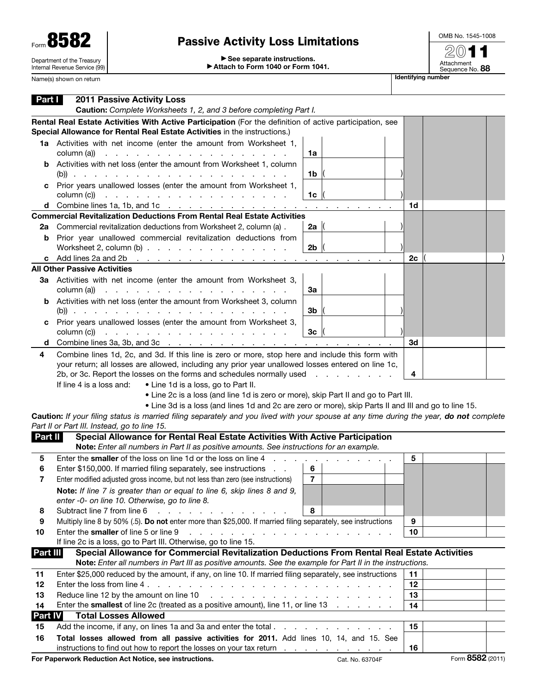| 5<br>Form $\mathbf{O}$                                      |
|-------------------------------------------------------------|
| Department of the Treasury<br>Internal Revenue Service (99) |

## Passive Activity Loss Limitations

OMB No. 1545-1008 2011

▶ See separate instructions. ▶ Attach to Form 1040 or Form 1041.

Attachment<br>Sequence No. **88** name (s) shown on return I show that is shown that is shown in the set of the state of the state of the state of the state of the state of the state of the state of the state of the state of the state of the state of the s

| Name(s) shown on return |  |
|-------------------------|--|

| Part I               | <b>2011 Passive Activity Loss</b><br>Caution: Complete Worksheets 1, 2, and 3 before completing Part I.                                                                                                                                                                                                                                                                                                                                       |    |                  |
|----------------------|-----------------------------------------------------------------------------------------------------------------------------------------------------------------------------------------------------------------------------------------------------------------------------------------------------------------------------------------------------------------------------------------------------------------------------------------------|----|------------------|
|                      | Rental Real Estate Activities With Active Participation (For the definition of active participation, see<br>Special Allowance for Rental Real Estate Activities in the instructions.)                                                                                                                                                                                                                                                         |    |                  |
|                      | 1a Activities with net income (enter the amount from Worksheet 1,                                                                                                                                                                                                                                                                                                                                                                             |    |                  |
| b                    | column (a))<br>the contract of the contract of the contract of the contract of<br>1a<br>Activities with net loss (enter the amount from Worksheet 1, column<br>1b                                                                                                                                                                                                                                                                             |    |                  |
| c                    | Prior years unallowed losses (enter the amount from Worksheet 1,<br>column (c))<br>1 <sub>c</sub><br>a construction of the construction of the construction of                                                                                                                                                                                                                                                                                |    |                  |
|                      | d Combine lines 1a, 1b, and 1c<br>the contract of the con-                                                                                                                                                                                                                                                                                                                                                                                    | 1d |                  |
|                      | <b>Commercial Revitalization Deductions From Rental Real Estate Activities</b>                                                                                                                                                                                                                                                                                                                                                                |    |                  |
| 2a                   | Commercial revitalization deductions from Worksheet 2, column (a).<br>2a $ $                                                                                                                                                                                                                                                                                                                                                                  |    |                  |
| b                    | Prior year unallowed commercial revitalization deductions from<br>Worksheet 2, column $(b)$<br>2 <sub>b</sub>                                                                                                                                                                                                                                                                                                                                 |    |                  |
| c                    | Add lines 2a and 2b<br>the contract of the contract of the contract of the<br>the company's company's                                                                                                                                                                                                                                                                                                                                         | 2c |                  |
|                      | <b>All Other Passive Activities</b>                                                                                                                                                                                                                                                                                                                                                                                                           |    |                  |
|                      | 3a Activities with net income (enter the amount from Worksheet 3,<br>and the company of the company of the company of the<br>За<br>column (a))                                                                                                                                                                                                                                                                                                |    |                  |
| b                    | Activities with net loss (enter the amount from Worksheet 3, column<br>3b                                                                                                                                                                                                                                                                                                                                                                     |    |                  |
| c                    | Prior years unallowed losses (enter the amount from Worksheet 3,                                                                                                                                                                                                                                                                                                                                                                              |    |                  |
|                      | column (c))<br>والمتحاول والمتحاول والمتحاول والمتحاول والمتحاول والمتحاول<br>3 <sub>c</sub>                                                                                                                                                                                                                                                                                                                                                  |    |                  |
| d                    | Combine lines 3a, 3b, and 3c $\ldots$ $\ldots$ $\ldots$ $\ldots$ $\ldots$ $\ldots$ $\ldots$ $\ldots$ $\ldots$                                                                                                                                                                                                                                                                                                                                 | 3d |                  |
|                      | your return; all losses are allowed, including any prior year unallowed losses entered on line 1c,<br>2b, or 3c. Report the losses on the forms and schedules normally used<br>If line 4 is a loss and:<br>• Line 1d is a loss, go to Part II.<br>• Line 2c is a loss (and line 1d is zero or more), skip Part II and go to Part III.<br>. Line 3d is a loss (and lines 1d and 2c are zero or more), skip Parts II and III and go to line 15. | 4  |                  |
|                      | Caution: If your filing status is married filing separately and you lived with your spouse at any time during the year, do not complete<br>Part II or Part III. Instead, go to line 15.                                                                                                                                                                                                                                                       |    |                  |
| Part II              | Special Allowance for Rental Real Estate Activities With Active Participation                                                                                                                                                                                                                                                                                                                                                                 |    |                  |
|                      | Note: Enter all numbers in Part II as positive amounts. See instructions for an example.                                                                                                                                                                                                                                                                                                                                                      |    |                  |
| 5                    | Enter the smaller of the loss on line 1d or the loss on line 4                                                                                                                                                                                                                                                                                                                                                                                | 5  |                  |
| 6                    | Enter \$150,000. If married filing separately, see instructions<br>6                                                                                                                                                                                                                                                                                                                                                                          |    |                  |
| 7                    | $\overline{7}$<br>Enter modified adjusted gross income, but not less than zero (see instructions)                                                                                                                                                                                                                                                                                                                                             |    |                  |
|                      | Note: If line 7 is greater than or equal to line 6, skip lines 8 and 9,<br>enter -0- on line 10. Otherwise, go to line 8.                                                                                                                                                                                                                                                                                                                     |    |                  |
| 8                    | Subtract line 7 from line 6<br>and a series and a series and<br>8                                                                                                                                                                                                                                                                                                                                                                             |    |                  |
| 9                    | Multiply line 8 by 50% (.5). Do not enter more than \$25,000. If married filing separately, see instructions                                                                                                                                                                                                                                                                                                                                  | 9  |                  |
| 10                   | Enter the smaller of line 5 or line 9<br>.                                                                                                                                                                                                                                                                                                                                                                                                    | 10 |                  |
|                      | If line 2c is a loss, go to Part III. Otherwise, go to line 15.                                                                                                                                                                                                                                                                                                                                                                               |    |                  |
| <b>Part III</b>      | Special Allowance for Commercial Revitalization Deductions From Rental Real Estate Activities                                                                                                                                                                                                                                                                                                                                                 |    |                  |
|                      | Note: Enter all numbers in Part III as positive amounts. See the example for Part II in the instructions.                                                                                                                                                                                                                                                                                                                                     |    |                  |
| 11                   | Enter \$25,000 reduced by the amount, if any, on line 10. If married filing separately, see instructions                                                                                                                                                                                                                                                                                                                                      | 11 |                  |
| 12                   |                                                                                                                                                                                                                                                                                                                                                                                                                                               | 12 |                  |
| 13                   | Reduce line 12 by the amount on line 10<br>and a series and a series and a series and a<br>Enter the <b>smallest</b> of line 2c (treated as a positive amount), line 11, or line 13                                                                                                                                                                                                                                                           | 13 |                  |
| 14<br><b>Part IV</b> | <b>Total Losses Allowed</b>                                                                                                                                                                                                                                                                                                                                                                                                                   | 14 |                  |
| 15                   | Add the income, if any, on lines 1a and 3a and enter the total                                                                                                                                                                                                                                                                                                                                                                                | 15 |                  |
| 16                   | Total losses allowed from all passive activities for 2011. Add lines 10, 14, and 15. See                                                                                                                                                                                                                                                                                                                                                      |    |                  |
|                      | instructions to find out how to report the losses on your tax return                                                                                                                                                                                                                                                                                                                                                                          | 16 |                  |
|                      | For Paperwork Reduction Act Notice, see instructions.<br>Cat. No. 63704F                                                                                                                                                                                                                                                                                                                                                                      |    | Form 8582 (2011) |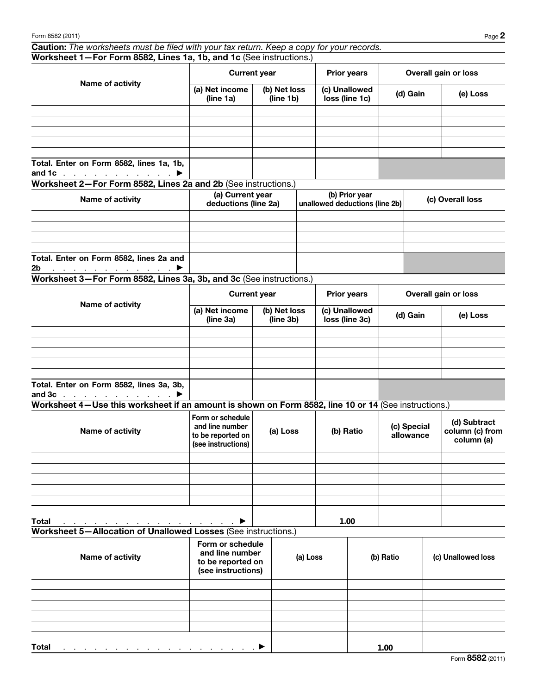Caution: *The worksheets must be filed with your tax return. Keep a copy for your records.* Worksheet 1—For Form 8582, Lines 1a, 1b, and 1c (See instructions.)

| Name of activity                                                                       |                             | <b>Current year</b>       | <b>Prior years</b>              | Overall gain or loss |          |
|----------------------------------------------------------------------------------------|-----------------------------|---------------------------|---------------------------------|----------------------|----------|
|                                                                                        | (a) Net income<br>(line 1a) | (b) Net loss<br>(line 1b) | (c) Unallowed<br>loss (line 1c) | (d) Gain             | (e) Loss |
|                                                                                        |                             |                           |                                 |                      |          |
|                                                                                        |                             |                           |                                 |                      |          |
|                                                                                        |                             |                           |                                 |                      |          |
|                                                                                        |                             |                           |                                 |                      |          |
|                                                                                        |                             |                           |                                 |                      |          |
| Total. Enter on Form 8582, lines 1a, 1b,<br>and 1c $\ldots$ $\ldots$ $\ldots$ $\ldots$ |                             |                           |                                 |                      |          |

Worksheet 2—For Form 8582, Lines 2a and 2b (See instructions.)

| Name of activity                                                                    | (a) Current year<br>deductions (line 2a) | (b) Prior year<br>unallowed deductions (line 2b) | (c) Overall loss |  |  |
|-------------------------------------------------------------------------------------|------------------------------------------|--------------------------------------------------|------------------|--|--|
|                                                                                     |                                          |                                                  |                  |  |  |
|                                                                                     |                                          |                                                  |                  |  |  |
|                                                                                     |                                          |                                                  |                  |  |  |
|                                                                                     |                                          |                                                  |                  |  |  |
| Total. Enter on Form 8582, lines 2a and                                             |                                          |                                                  |                  |  |  |
| 2 <sub>b</sub><br>$\ldots$ . The set of the set of the set of $\blacktriangleright$ |                                          |                                                  |                  |  |  |

Worksheet 3—For Form 8582, Lines 3a, 3b, and 3c (See instructions.)

| Name of activity                                                           |                                                          | <b>Current year</b> | <b>Prior years</b><br>Overall gain or loss |          |          |  |
|----------------------------------------------------------------------------|----------------------------------------------------------|---------------------|--------------------------------------------|----------|----------|--|
|                                                                            | (a) Net income<br>(b) Net loss<br>(line 3a)<br>(line 3b) |                     | (c) Unallowed<br>loss (line 3c)            | (d) Gain | (e) Loss |  |
|                                                                            |                                                          |                     |                                            |          |          |  |
|                                                                            |                                                          |                     |                                            |          |          |  |
|                                                                            |                                                          |                     |                                            |          |          |  |
|                                                                            |                                                          |                     |                                            |          |          |  |
|                                                                            |                                                          |                     |                                            |          |          |  |
| Total. Enter on Form 8582, lines 3a, 3b,<br>and $3c$ $\blacktriangleright$ |                                                          |                     |                                            |          |          |  |

Worksheet 4—Use this worksheet if an amount is shown on Form 8582, line 10 or 14 (See instructions.)

| Name of activity                                                                | Form or schedule<br>and line number<br>to be reported on<br>(see instructions) | (a) Loss | (b) Ratio | (c) Special<br>allowance | (d) Subtract<br>column (c) from<br>column (a) |
|---------------------------------------------------------------------------------|--------------------------------------------------------------------------------|----------|-----------|--------------------------|-----------------------------------------------|
|                                                                                 |                                                                                |          |           |                          |                                               |
|                                                                                 |                                                                                |          |           |                          |                                               |
|                                                                                 |                                                                                |          |           |                          |                                               |
|                                                                                 |                                                                                |          |           |                          |                                               |
|                                                                                 |                                                                                |          |           |                          |                                               |
| <b>Total</b><br>and a series of the contract of the contract of the contract of | $\blacktriangleright$                                                          |          | 1.00      |                          |                                               |

Worksheet 5—Allocation of Unallowed Losses (See instructions.)

| Name of activity                                                                    | Form or schedule<br>and line number<br>to be reported on<br>(see instructions) | (a) Loss | (b) Ratio | (c) Unallowed loss |
|-------------------------------------------------------------------------------------|--------------------------------------------------------------------------------|----------|-----------|--------------------|
|                                                                                     |                                                                                |          |           |                    |
|                                                                                     |                                                                                |          |           |                    |
|                                                                                     |                                                                                |          |           |                    |
|                                                                                     |                                                                                |          |           |                    |
|                                                                                     |                                                                                |          |           |                    |
| <b>Total</b><br>and the contract of the contract of the contract of the contract of |                                                                                |          | 1.00      |                    |